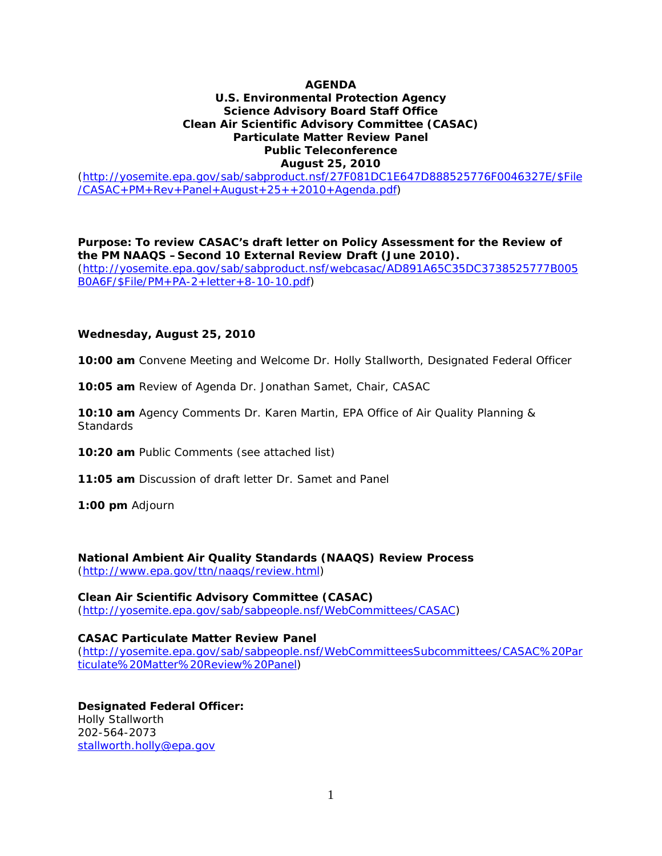### **AGENDA**

# **U.S. Environmental Protection Agency Science Advisory Board Staff Office Clean Air Scientific Advisory Committee (CASAC) Particulate Matter Review Panel Public Teleconference**

# **August 25, 2010**

[\(http://yosemite.epa.gov/sab/sabproduct.nsf/27F081DC1E647D888525776F0046327E/\\$File](http://yosemite.epa.gov/sab/sabproduct.nsf/27F081DC1E647D888525776F0046327E/$File/CASAC+PM+Rev+Panel+August+25++2010+Agenda.pdf) [/CASAC+PM+Rev+Panel+August+25++2010+Agenda.pdf\)](http://yosemite.epa.gov/sab/sabproduct.nsf/27F081DC1E647D888525776F0046327E/$File/CASAC+PM+Rev+Panel+August+25++2010+Agenda.pdf)

**Purpose: To review CASAC's draft letter on** *Policy Assessment for the Review of the PM NAAQS –Second 10 External Review Draft (June 2010).* [\(http://yosemite.epa.gov/sab/sabproduct.nsf/webcasac/AD891A65C35DC3738525777B005](http://yosemite.epa.gov/sab/sabproduct.nsf/webcasac/AD891A65C35DC3738525777B005B0A6F/$File/PM+PA-2+letter+8-10-10.pdf) [B0A6F/\\$File/PM+PA-2+letter+8-10-10.pdf\)](http://yosemite.epa.gov/sab/sabproduct.nsf/webcasac/AD891A65C35DC3738525777B005B0A6F/$File/PM+PA-2+letter+8-10-10.pdf)

#### **Wednesday, August 25, 2010**

**10:00 am** Convene Meeting and Welcome Dr. Holly Stallworth, Designated Federal Officer

**10:05 am** Review of Agenda Dr. Jonathan Samet, Chair, CASAC

**10:10 am** Agency Comments Dr. Karen Martin, EPA Office of Air Quality Planning & **Standards** 

**10:20 am** Public Comments (see attached list)

**11:05 am** Discussion of draft letter Dr. Samet and Panel

**1:00 pm** Adjourn

**National Ambient Air Quality Standards (NAAQS) Review Process** [\(http://www.epa.gov/ttn/naaqs/review.html\)](http://www.epa.gov/ttn/naaqs/review.html)

**Clean Air Scientific Advisory Committee (CASAC)** [\(http://yosemite.epa.gov/sab/sabpeople.nsf/WebCommittees/CASAC\)](http://yosemite.epa.gov/sab/sabpeople.nsf/WebCommittees/CASAC)

#### **CASAC Particulate Matter Review Panel**

[\(http://yosemite.epa.gov/sab/sabpeople.nsf/WebCommitteesSubcommittees/CASAC%20Par](http://yosemite.epa.gov/sab/sabpeople.nsf/WebCommitteesSubcommittees/CASAC%20Particulate%20Matter%20Review%20Panel) [ticulate%20Matter%20Review%20Panel\)](http://yosemite.epa.gov/sab/sabpeople.nsf/WebCommitteesSubcommittees/CASAC%20Particulate%20Matter%20Review%20Panel)

**Designated Federal Officer:** Holly Stallworth 202-564-2073 [stallworth.holly@epa.gov](mailto:stallworth.holly@epa.gov)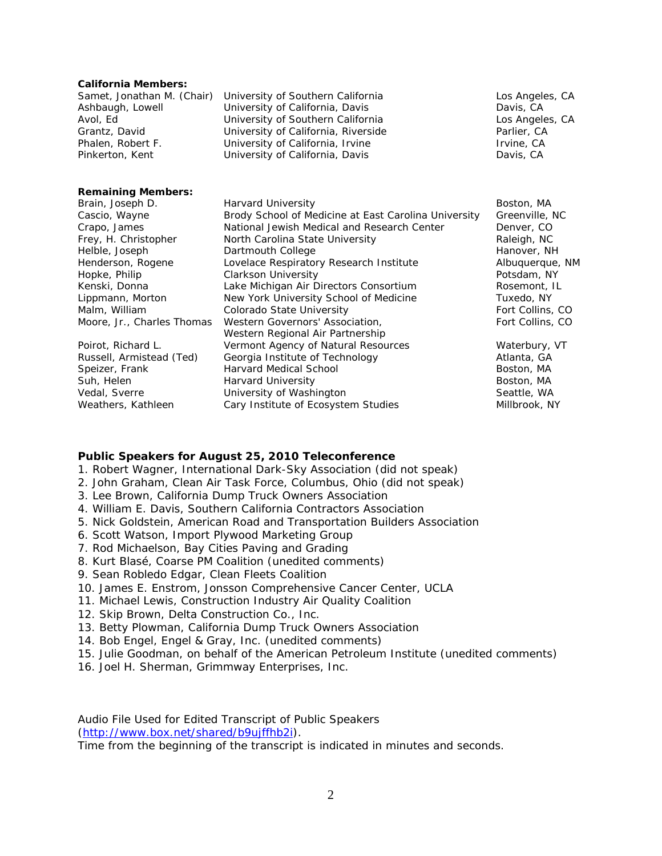#### **California Members:**

|                   | Samet, Jonathan M. (Chair) University of Southern California | Los Angeles, CA |
|-------------------|--------------------------------------------------------------|-----------------|
| Ashbaugh, Lowell  | University of California, Davis                              | Davis, CA       |
| Avol, Ed          | University of Southern California                            | Los Angeles, CA |
| Grantz, David     | University of California, Riverside                          | Parlier, CA     |
| Phalen, Robert F. | University of California, Irvine                             | Irvine, CA      |
| Pinkerton, Kent   | University of California, Davis                              | Davis, CA       |
|                   |                                                              |                 |
|                   |                                                              |                 |

#### **Remaining Members:**

| Brain, Joseph D.           | Harvard University                                   | Boston, MA       |
|----------------------------|------------------------------------------------------|------------------|
| Cascio, Wayne              | Brody School of Medicine at East Carolina University | Greenville, NC   |
| Crapo, James               | National Jewish Medical and Research Center          | Denver, CO       |
| Frey, H. Christopher       | North Carolina State University                      | Raleigh, NC      |
| Helble, Joseph             | Dartmouth College                                    | Hanover, NH      |
| Henderson, Rogene          | Lovelace Respiratory Research Institute              | Albuquerque, NI  |
| Hopke, Philip              | <b>Clarkson University</b>                           | Potsdam, NY      |
| Kenski, Donna              | Lake Michigan Air Directors Consortium               | Rosemont, IL     |
| Lippmann, Morton           | New York University School of Medicine               | Tuxedo, NY       |
| Malm, William              | Colorado State University                            | Fort Collins, CO |
| Moore, Jr., Charles Thomas | Western Governors' Association,                      | Fort Collins, CO |
|                            | Western Regional Air Partnership                     |                  |
| Poirot, Richard L.         | Vermont Agency of Natural Resources                  | Waterbury, VT    |
| Russell, Armistead (Ted)   | Georgia Institute of Technology                      | Atlanta, GA      |
| Speizer, Frank             | <b>Harvard Medical School</b>                        | Boston, MA       |

Frequencies Around Carolina State University Raleigh, NC e **Hanover, NH** Albuquerque, NM ty **Example 2018** Potsdam, NY Directors Consortium Rosemont, IL Lity School of Medicine Tuxedo, NY Malm, William Colorado State University Fort Collins, CO Air Partnership of Natural Resources Waterbury, VT of Technology **Atlanta, GA** School Boston, MA Suh, Helen **Harvard University Boston, MA** Vedal, Sverre **Seattle, WA Seattle, WA Seattle, WA Seattle, WA** Seattle, WA Weathers, Kathleen Cary Institute of Ecosystem Studies Millbrook, NY

Boston, MA Medicine at East Carolina University Greenville, NC ledical and Research Center Denver, CO

#### **Public Speakers for August 25, 2010 Teleconference**

- 1. Robert Wagner, International Dark-Sky Association (did not speak)
- 2. John Graham, Clean Air Task Force, Columbus, Ohio (did not speak)
- 3. Lee Brown, California Dump Truck Owners Association
- 4. William E. Davis, Southern California Contractors Association
- 5. Nick Goldstein, American Road and Transportation Builders Association
- 6. Scott Watson, Import Plywood Marketing Group
- 7. Rod Michaelson, Bay Cities Paving and Grading
- 8. Kurt Blasé, Coarse PM Coalition (unedited comments)
- 9. Sean Robledo Edgar, Clean Fleets Coalition
- 10. James E. Enstrom, Jonsson Comprehensive Cancer Center, UCLA
- 11. Michael Lewis, Construction Industry Air Quality Coalition
- 12. Skip Brown, Delta Construction Co., Inc.
- 13. Betty Plowman, California Dump Truck Owners Association
- 14. Bob Engel, Engel & Gray, Inc. (unedited comments)
- 15. Julie Goodman, on behalf of the American Petroleum Institute (unedited comments)
- 16. Joel H. Sherman, Grimmway Enterprises, Inc.

Audio File Used for Edited Transcript of Public Speakers [\(http://www.box.net/shared/b9ujffhb2i\)](http://www.box.net/shared/b9ujffhb2i).

Time from the beginning of the transcript is indicated in minutes and seconds.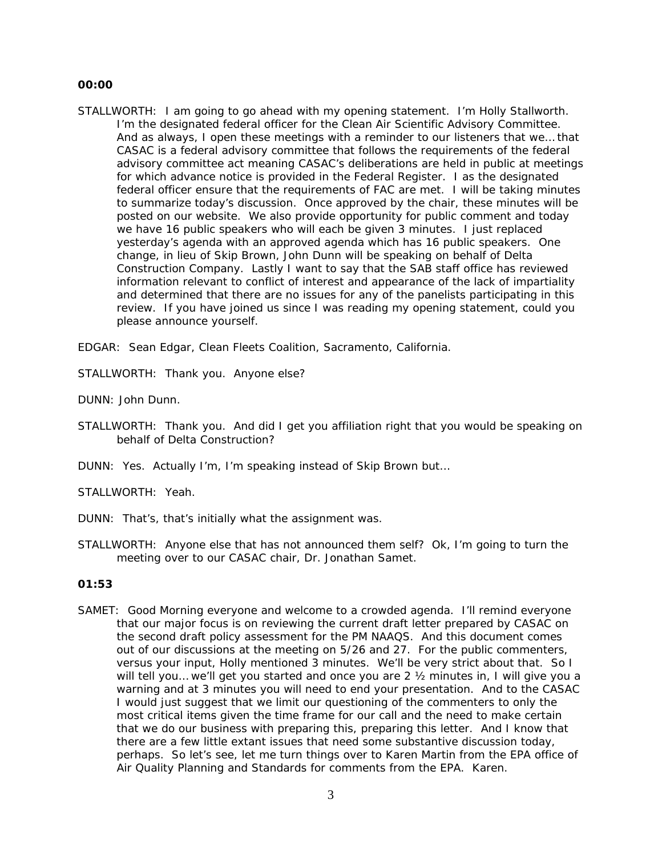#### **00:00**

STALLWORTH: I am going to go ahead with my opening statement. I'm Holly Stallworth. I'm the designated federal officer for the Clean Air Scientific Advisory Committee. And as always, I open these meetings with a reminder to our listeners that we… that CASAC is a federal advisory committee that follows the requirements of the federal advisory committee act meaning CASAC's deliberations are held in public at meetings for which advance notice is provided in the Federal Register. I as the designated federal officer ensure that the requirements of FAC are met. I will be taking minutes to summarize today's discussion. Once approved by the chair, these minutes will be posted on our website. We also provide opportunity for public comment and today we have 16 public speakers who will each be given 3 minutes. I just replaced yesterday's agenda with an approved agenda which has 16 public speakers. One change, in lieu of Skip Brown, John Dunn will be speaking on behalf of Delta Construction Company. Lastly I want to say that the SAB staff office has reviewed information relevant to conflict of interest and appearance of the lack of impartiality and determined that there are no issues for any of the panelists participating in this review. If you have joined us since I was reading my opening statement, could you please announce yourself.

EDGAR: Sean Edgar, Clean Fleets Coalition, Sacramento, California.

STALLWORTH: Thank you. Anyone else?

DUNN: John Dunn.

- STALLWORTH: Thank you. And did I get you affiliation right that you would be speaking on behalf of Delta Construction?
- DUNN: Yes. Actually I'm, I'm speaking instead of Skip Brown but…

STALLWORTH: Yeah.

- DUNN: That's, that's initially what the assignment was.
- STALLWORTH: Anyone else that has not announced them self? Ok, I'm going to turn the meeting over to our CASAC chair, Dr. Jonathan Samet.

# **01:53**

SAMET: Good Morning everyone and welcome to a crowded agenda. I'll remind everyone that our major focus is on reviewing the current draft letter prepared by CASAC on the second draft policy assessment for the PM NAAQS. And this document comes out of our discussions at the meeting on 5/26 and 27. For the public commenters, versus your input, Holly mentioned 3 minutes. We'll be very strict about that. So I will tell you… we'll get you started and once you are 2 ½ minutes in, I will give you a warning and at 3 minutes you will need to end your presentation. And to the CASAC I would just suggest that we limit our questioning of the commenters to only the most critical items given the time frame for our call and the need to make certain that we do our business with preparing this, preparing this letter. And I know that there are a few little extant issues that need some substantive discussion today, perhaps. So let's see, let me turn things over to Karen Martin from the EPA office of Air Quality Planning and Standards for comments from the EPA. Karen.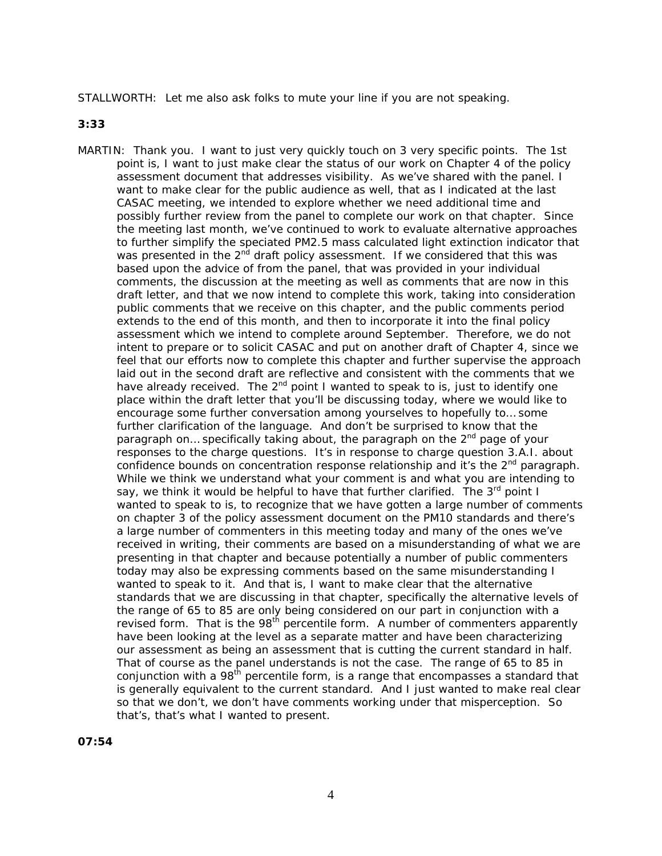STALLWORTH: Let me also ask folks to mute your line if you are not speaking.

**3:33**

MARTIN: Thank you. I want to just very quickly touch on 3 very specific points. The 1st point is, I want to just make clear the status of our work on Chapter 4 of the policy assessment document that addresses visibility. As we've shared with the panel. I want to make clear for the public audience as well, that as I indicated at the last CASAC meeting, we intended to explore whether we need additional time and possibly further review from the panel to complete our work on that chapter. Since the meeting last month, we've continued to work to evaluate alternative approaches to further simplify the speciated PM2.5 mass calculated light extinction indicator that was presented in the 2<sup>nd</sup> draft policy assessment. If we considered that this was based upon the advice of from the panel, that was provided in your individual comments, the discussion at the meeting as well as comments that are now in this draft letter, and that we now intend to complete this work, taking into consideration public comments that we receive on this chapter, and the public comments period extends to the end of this month, and then to incorporate it into the final policy assessment which we intend to complete around September. Therefore, we do not intent to prepare or to solicit CASAC and put on another draft of Chapter 4, since we feel that our efforts now to complete this chapter and further supervise the approach laid out in the second draft are reflective and consistent with the comments that we have already received. The  $2^{nd}$  point I wanted to speak to is, just to identify one place within the draft letter that you'll be discussing today, where we would like to encourage some further conversation among yourselves to hopefully to… some further clarification of the language. And don't be surprised to know that the paragraph on... specifically taking about, the paragraph on the 2<sup>nd</sup> page of your responses to the charge questions. It's in response to charge question 3.A.I. about confidence bounds on concentration response relationship and it's the  $2^{nd}$  paragraph. While we think we understand what your comment is and what you are intending to say, we think it would be helpful to have that further clarified. The  $3<sup>rd</sup>$  point I wanted to speak to is, to recognize that we have gotten a large number of comments on chapter 3 of the policy assessment document on the PM10 standards and there's a large number of commenters in this meeting today and many of the ones we've received in writing, their comments are based on a misunderstanding of what we are presenting in that chapter and because potentially a number of public commenters today may also be expressing comments based on the same misunderstanding I wanted to speak to it. And that is, I want to make clear that the alternative standards that we are discussing in that chapter, specifically the alternative levels of the range of 65 to 85 are only being considered on our part in conjunction with a revised form. That is the 98<sup>th</sup> percentile form. A number of commenters apparently have been looking at the level as a separate matter and have been characterizing our assessment as being an assessment that is cutting the current standard in half. That of course as the panel understands is not the case. The range of 65 to 85 in conjunction with a 98<sup>th</sup> percentile form, is a range that encompasses a standard that is generally equivalent to the current standard. And I just wanted to make real clear so that we don't, we don't have comments working under that misperception. So that's, that's what I wanted to present.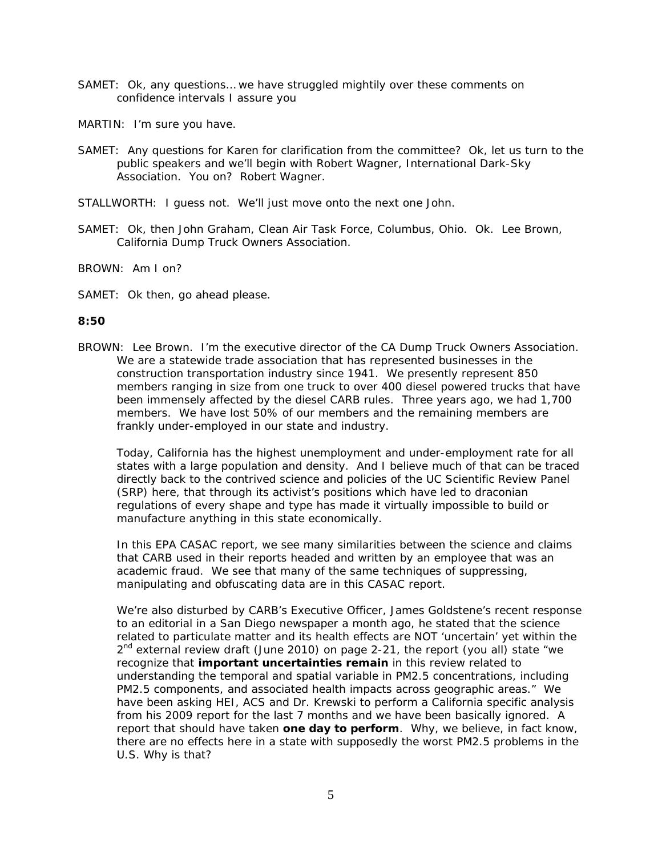- SAMET: Ok, any questions… we have struggled mightily over these comments on confidence intervals I assure you
- MARTIN: I'm sure you have.
- SAMET: Any questions for Karen for clarification from the committee? Ok, let us turn to the public speakers and we'll begin with Robert Wagner, International Dark-Sky Association. You on? Robert Wagner.
- STALLWORTH: I guess not. We'll just move onto the next one John.
- SAMET: Ok, then John Graham, Clean Air Task Force, Columbus, Ohio. Ok. Lee Brown, California Dump Truck Owners Association.

BROWN: Am I on?

SAMET: Ok then, go ahead please.

#### **8:50**

BROWN: Lee Brown. I'm the executive director of the CA Dump Truck Owners Association. We are a statewide trade association that has represented businesses in the construction transportation industry since 1941. We presently represent 850 members ranging in size from one truck to over 400 diesel powered trucks that have been immensely affected by the diesel CARB rules. Three years ago, we had 1,700 members. We have lost 50% of our members and the remaining members are frankly under-employed in our state and industry.

Today, California has the highest unemployment and under-employment rate for all states with a large population and density. And I believe much of that can be traced directly back to the contrived science and policies of the UC Scientific Review Panel (SRP) here, that through its activist's positions which have led to draconian regulations of every shape and type has made it virtually impossible to build or manufacture anything in this state economically.

In this EPA CASAC report, we see many similarities between the science and claims that CARB used in their reports headed and written by an employee that was an academic fraud. We see that many of the same techniques of suppressing, manipulating and obfuscating data are in this CASAC report.

We're also disturbed by CARB's Executive Officer, James Goldstene's recent response to an editorial in a San Diego newspaper a month ago, he stated that the science related to particulate matter and its health effects are NOT 'uncertain' yet within the  $2<sup>nd</sup>$  external review draft (June 2010) on page 2-21, the report (you all) state "we recognize that **important uncertainties remain** in this review related to understanding the temporal and spatial variable in PM2.5 concentrations, including PM2.5 components, and associated health impacts across geographic areas." We have been asking HEI, ACS and Dr. Krewski to perform a California specific analysis from his 2009 report for the last 7 months and we have been basically ignored. A report that should have taken **one day to perform**. Why, we believe, in fact know, there are no effects here in a state with supposedly the worst PM2.5 problems in the U.S. Why is that?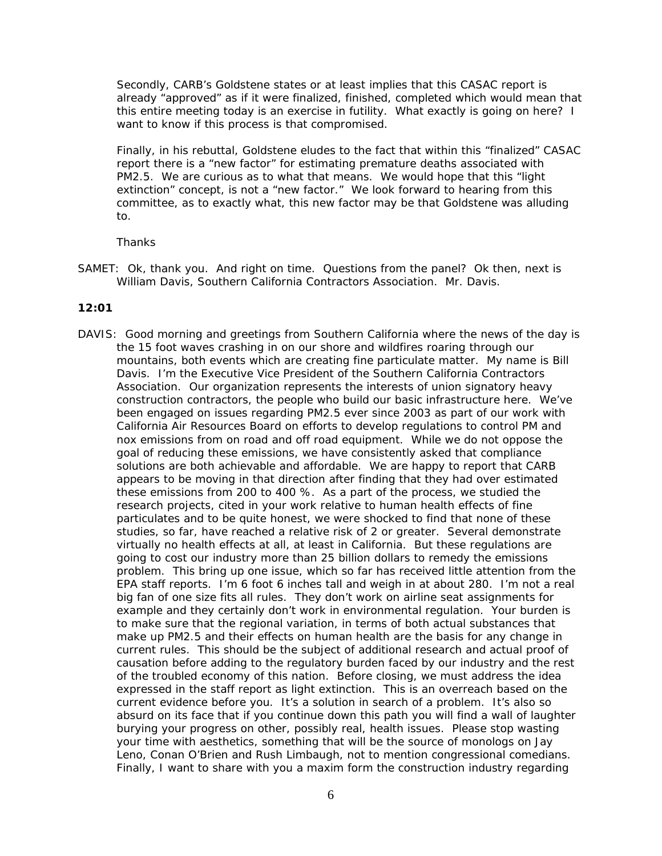Secondly, CARB's Goldstene states or at least implies that this CASAC report is already "approved" as if it were finalized, finished, completed which would mean that this entire meeting today is an exercise in futility. What exactly is going on here? I want to know if this process is that compromised.

Finally, in his rebuttal, Goldstene eludes to the fact that within this "finalized" CASAC report there is a "new factor" for estimating premature deaths associated with PM2.5. We are curious as to what that means. We would hope that this "light extinction" concept, is not a "new factor." We look forward to hearing from this committee, as to exactly what, this new factor may be that Goldstene was alluding to.

#### **Thanks**

SAMET: Ok, thank you. And right on time. Questions from the panel? Ok then, next is William Davis, Southern California Contractors Association. Mr. Davis.

#### **12:01**

DAVIS: Good morning and greetings from Southern California where the news of the day is the 15 foot waves crashing in on our shore and wildfires roaring through our mountains, both events which are creating fine particulate matter. My name is Bill Davis. I'm the Executive Vice President of the Southern California Contractors Association. Our organization represents the interests of union signatory heavy construction contractors, the people who build our basic infrastructure here. We've been engaged on issues regarding PM2.5 ever since 2003 as part of our work with California Air Resources Board on efforts to develop regulations to control PM and nox emissions from on road and off road equipment. While we do not oppose the goal of reducing these emissions, we have consistently asked that compliance solutions are both achievable and affordable. We are happy to report that CARB appears to be moving in that direction after finding that they had over estimated these emissions from 200 to 400 %. As a part of the process, we studied the research projects, cited in your work relative to human health effects of fine particulates and to be quite honest, we were shocked to find that none of these studies, so far, have reached a relative risk of 2 or greater. Several demonstrate virtually no health effects at all, at least in California. But these regulations are going to cost our industry more than 25 billion dollars to remedy the emissions problem. This bring up one issue, which so far has received little attention from the EPA staff reports. I'm 6 foot 6 inches tall and weigh in at about 280. I'm not a real big fan of one size fits all rules. They don't work on airline seat assignments for example and they certainly don't work in environmental regulation. Your burden is to make sure that the regional variation, in terms of both actual substances that make up PM2.5 and their effects on human health are the basis for any change in current rules. This should be the subject of additional research and actual proof of causation before adding to the regulatory burden faced by our industry and the rest of the troubled economy of this nation. Before closing, we must address the idea expressed in the staff report as light extinction. This is an overreach based on the current evidence before you. It's a solution in search of a problem. It's also so absurd on its face that if you continue down this path you will find a wall of laughter burying your progress on other, possibly real, health issues. Please stop wasting your time with aesthetics, something that will be the source of monologs on Jay Leno, Conan O'Brien and Rush Limbaugh, not to mention congressional comedians. Finally, I want to share with you a maxim form the construction industry regarding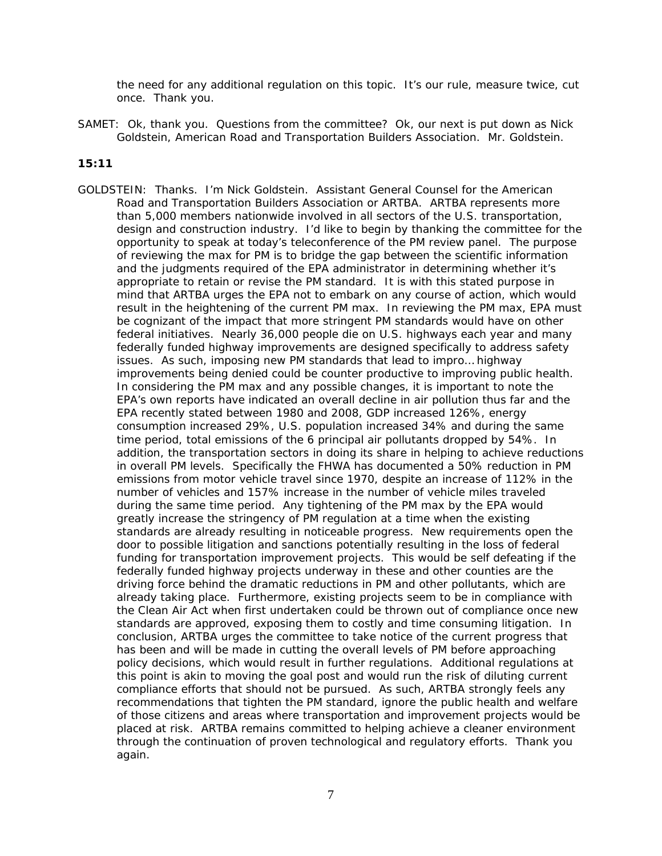the need for any additional regulation on this topic. It's our rule, measure twice, cut once. Thank you.

SAMET: Ok, thank you. Questions from the committee? Ok, our next is put down as Nick Goldstein, American Road and Transportation Builders Association. Mr. Goldstein.

#### **15:11**

GOLDSTEIN: Thanks. I'm Nick Goldstein. Assistant General Counsel for the American Road and Transportation Builders Association or ARTBA. ARTBA represents more than 5,000 members nationwide involved in all sectors of the U.S. transportation, design and construction industry. I'd like to begin by thanking the committee for the opportunity to speak at today's teleconference of the PM review panel. The purpose of reviewing the max for PM is to bridge the gap between the scientific information and the judgments required of the EPA administrator in determining whether it's appropriate to retain or revise the PM standard. It is with this stated purpose in mind that ARTBA urges the EPA not to embark on any course of action, which would result in the heightening of the current PM max. In reviewing the PM max, EPA must be cognizant of the impact that more stringent PM standards would have on other federal initiatives. Nearly 36,000 people die on U.S. highways each year and many federally funded highway improvements are designed specifically to address safety issues. As such, imposing new PM standards that lead to impro… highway improvements being denied could be counter productive to improving public health. In considering the PM max and any possible changes, it is important to note the EPA's own reports have indicated an overall decline in air pollution thus far and the EPA recently stated between 1980 and 2008, GDP increased 126%, energy consumption increased 29%, U.S. population increased 34% and during the same time period, total emissions of the 6 principal air pollutants dropped by 54%. In addition, the transportation sectors in doing its share in helping to achieve reductions in overall PM levels. Specifically the FHWA has documented a 50% reduction in PM emissions from motor vehicle travel since 1970, despite an increase of 112% in the number of vehicles and 157% increase in the number of vehicle miles traveled during the same time period. Any tightening of the PM max by the EPA would greatly increase the stringency of PM regulation at a time when the existing standards are already resulting in noticeable progress. New requirements open the door to possible litigation and sanctions potentially resulting in the loss of federal funding for transportation improvement projects. This would be self defeating if the federally funded highway projects underway in these and other counties are the driving force behind the dramatic reductions in PM and other pollutants, which are already taking place. Furthermore, existing projects seem to be in compliance with the Clean Air Act when first undertaken could be thrown out of compliance once new standards are approved, exposing them to costly and time consuming litigation. In conclusion, ARTBA urges the committee to take notice of the current progress that has been and will be made in cutting the overall levels of PM before approaching policy decisions, which would result in further regulations. Additional regulations at this point is akin to moving the goal post and would run the risk of diluting current compliance efforts that should not be pursued. As such, ARTBA strongly feels any recommendations that tighten the PM standard, ignore the public health and welfare of those citizens and areas where transportation and improvement projects would be placed at risk. ARTBA remains committed to helping achieve a cleaner environment through the continuation of proven technological and regulatory efforts. Thank you again.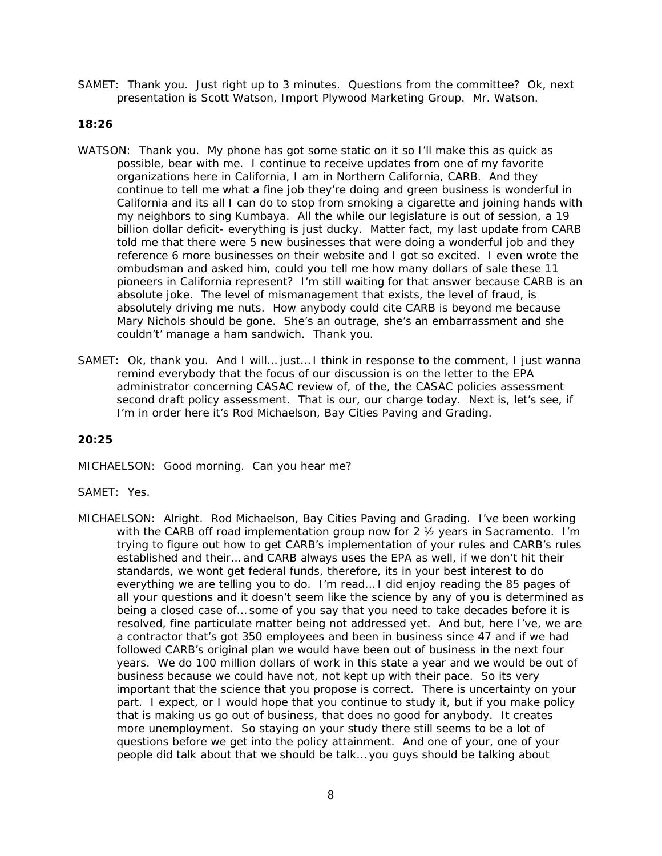SAMET: Thank you. Just right up to 3 minutes. Questions from the committee? Ok, next presentation is Scott Watson, Import Plywood Marketing Group. Mr. Watson.

### **18:26**

- WATSON: Thank you. My phone has got some static on it so I'll make this as quick as possible, bear with me. I continue to receive updates from one of my favorite organizations here in California, I am in Northern California, CARB. And they continue to tell me what a fine job they're doing and green business is wonderful in California and its all I can do to stop from smoking a cigarette and joining hands with my neighbors to sing Kumbaya. All the while our legislature is out of session, a 19 billion dollar deficit- everything is just ducky. Matter fact, my last update from CARB told me that there were 5 new businesses that were doing a wonderful job and they reference 6 more businesses on their website and I got so excited. I even wrote the ombudsman and asked him, could you tell me how many dollars of sale these 11 pioneers in California represent? I'm still waiting for that answer because CARB is an absolute joke. The level of mismanagement that exists, the level of fraud, is absolutely driving me nuts. How anybody could cite CARB is beyond me because Mary Nichols should be gone. She's an outrage, she's an embarrassment and she couldn't' manage a ham sandwich. Thank you.
- SAMET: Ok, thank you. And I will… just… I think in response to the comment, I just wanna remind everybody that the focus of our discussion is on the letter to the EPA administrator concerning CASAC review of, of the, the CASAC policies assessment second draft policy assessment. That is our, our charge today. Next is, let's see, if I'm in order here it's Rod Michaelson, Bay Cities Paving and Grading.

#### **20:25**

MICHAELSON: Good morning. Can you hear me?

#### SAMET: Yes.

MICHAELSON: Alright. Rod Michaelson, Bay Cities Paving and Grading. I've been working with the CARB off road implementation group now for 2 ½ years in Sacramento. I'm trying to figure out how to get CARB's implementation of your rules and CARB's rules established and their… and CARB always uses the EPA as well, if we don't hit their standards, we wont get federal funds, therefore, its in your best interest to do everything we are telling you to do. I'm read… I did enjoy reading the 85 pages of all your questions and it doesn't seem like the science by any of you is determined as being a closed case of… some of you say that you need to take decades before it is resolved, fine particulate matter being not addressed yet. And but, here I've, we are a contractor that's got 350 employees and been in business since 47 and if we had followed CARB's original plan we would have been out of business in the next four years. We do 100 million dollars of work in this state a year and we would be out of business because we could have not, not kept up with their pace. So its very important that the science that you propose is correct. There is uncertainty on your part. I expect, or I would hope that you continue to study it, but if you make policy that is making us go out of business, that does no good for anybody. It creates more unemployment. So staying on your study there still seems to be a lot of questions before we get into the policy attainment. And one of your, one of your people did talk about that we should be talk… you guys should be talking about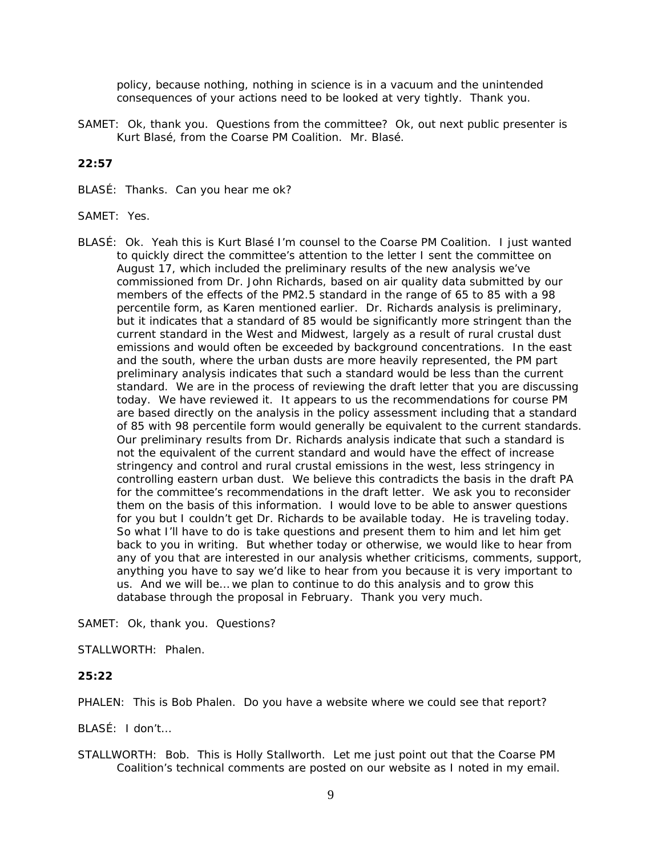policy, because nothing, nothing in science is in a vacuum and the unintended consequences of your actions need to be looked at very tightly. Thank you.

SAMET: Ok, thank you. Questions from the committee? Ok, out next public presenter is Kurt Blasé, from the Coarse PM Coalition. Mr. Blasé.

#### **22:57**

- BLASÉ: Thanks. Can you hear me ok?
- SAMET: Yes.
- BLASÉ: Ok. Yeah this is Kurt Blasé I'm counsel to the Coarse PM Coalition. I just wanted to quickly direct the committee's attention to the letter I sent the committee on August 17, which included the preliminary results of the new analysis we've commissioned from Dr. John Richards, based on air quality data submitted by our members of the effects of the PM2.5 standard in the range of 65 to 85 with a 98 percentile form, as Karen mentioned earlier. Dr. Richards analysis is preliminary, but it indicates that a standard of 85 would be significantly more stringent than the current standard in the West and Midwest, largely as a result of rural crustal dust emissions and would often be exceeded by background concentrations. In the east and the south, where the urban dusts are more heavily represented, the PM part preliminary analysis indicates that such a standard would be less than the current standard. We are in the process of reviewing the draft letter that you are discussing today. We have reviewed it. It appears to us the recommendations for course PM are based directly on the analysis in the policy assessment including that a standard of 85 with 98 percentile form would generally be equivalent to the current standards. Our preliminary results from Dr. Richards analysis indicate that such a standard is not the equivalent of the current standard and would have the effect of increase stringency and control and rural crustal emissions in the west, less stringency in controlling eastern urban dust. We believe this contradicts the basis in the draft PA for the committee's recommendations in the draft letter. We ask you to reconsider them on the basis of this information. I would love to be able to answer questions for you but I couldn't get Dr. Richards to be available today. He is traveling today. So what I'll have to do is take questions and present them to him and let him get back to you in writing. But whether today or otherwise, we would like to hear from any of you that are interested in our analysis whether criticisms, comments, support, anything you have to say we'd like to hear from you because it is very important to us. And we will be… we plan to continue to do this analysis and to grow this database through the proposal in February. Thank you very much.

SAMET: Ok, thank you. Questions?

STALLWORTH: Phalen.

#### **25:22**

PHALEN: This is Bob Phalen. Do you have a website where we could see that report?

BLASÉ: I don't…

STALLWORTH: Bob. This is Holly Stallworth. Let me just point out that the Coarse PM Coalition's technical comments are posted on our website as I noted in my email.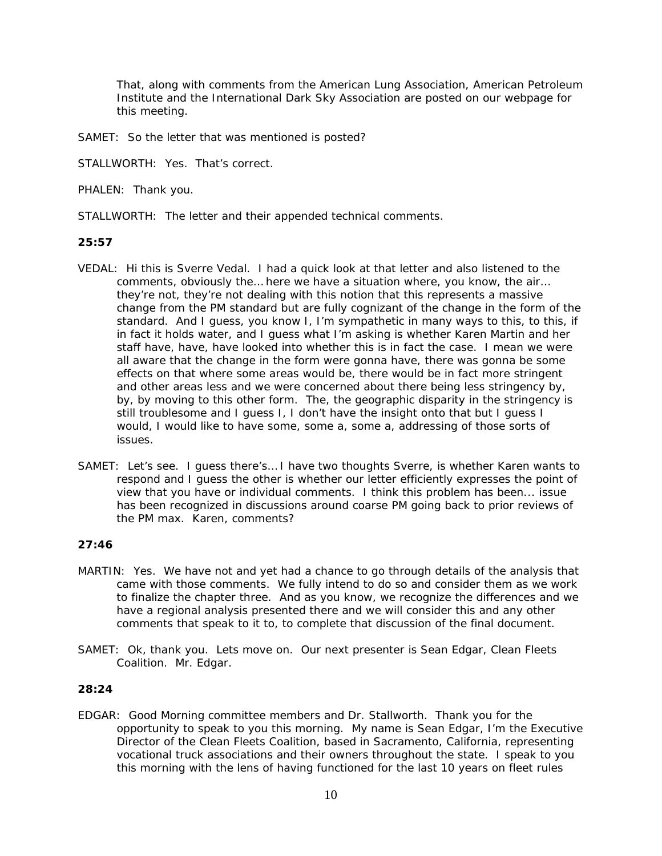That, along with comments from the American Lung Association, American Petroleum Institute and the International Dark Sky Association are posted on our webpage for this meeting.

SAMET: So the letter that was mentioned is posted?

STALLWORTH: Yes. That's correct.

PHALEN: Thank you.

STALLWORTH: The letter and their appended technical comments.

# **25:57**

- VEDAL: Hi this is Sverre Vedal. I had a quick look at that letter and also listened to the comments, obviously the… here we have a situation where, you know, the air… they're not, they're not dealing with this notion that this represents a massive change from the PM standard but are fully cognizant of the change in the form of the standard. And I guess, you know I, I'm sympathetic in many ways to this, to this, if in fact it holds water, and I guess what I'm asking is whether Karen Martin and her staff have, have, have looked into whether this is in fact the case. I mean we were all aware that the change in the form were gonna have, there was gonna be some effects on that where some areas would be, there would be in fact more stringent and other areas less and we were concerned about there being less stringency by, by, by moving to this other form. The, the geographic disparity in the stringency is still troublesome and I guess I, I don't have the insight onto that but I guess I would, I would like to have some, some a, some a, addressing of those sorts of issues.
- SAMET: Let's see. I guess there's… I have two thoughts Sverre, is whether Karen wants to respond and I guess the other is whether our letter efficiently expresses the point of view that you have or individual comments. I think this problem has been... issue has been recognized in discussions around coarse PM going back to prior reviews of the PM max. Karen, comments?

# **27:46**

- MARTIN: Yes. We have not and yet had a chance to go through details of the analysis that came with those comments. We fully intend to do so and consider them as we work to finalize the chapter three. And as you know, we recognize the differences and we have a regional analysis presented there and we will consider this and any other comments that speak to it to, to complete that discussion of the final document.
- SAMET: Ok, thank you. Lets move on. Our next presenter is Sean Edgar, Clean Fleets Coalition. Mr. Edgar.

# **28:24**

EDGAR: Good Morning committee members and Dr. Stallworth. Thank you for the opportunity to speak to you this morning. My name is Sean Edgar, I'm the Executive Director of the Clean Fleets Coalition, based in Sacramento, California, representing vocational truck associations and their owners throughout the state. I speak to you this morning with the lens of having functioned for the last 10 years on fleet rules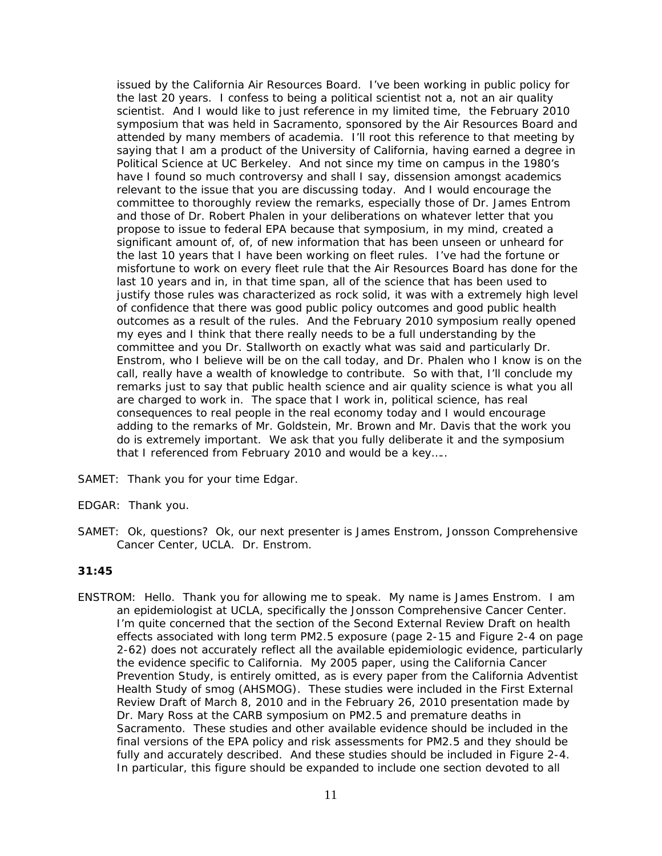issued by the California Air Resources Board. I've been working in public policy for the last 20 years. I confess to being a political scientist not a, not an air quality scientist. And I would like to just reference in my limited time, the February 2010 symposium that was held in Sacramento, sponsored by the Air Resources Board and attended by many members of academia. I'll root this reference to that meeting by saying that I am a product of the University of California, having earned a degree in Political Science at UC Berkeley. And not since my time on campus in the 1980's have I found so much controversy and shall I say, dissension amongst academics relevant to the issue that you are discussing today. And I would encourage the committee to thoroughly review the remarks, especially those of Dr. James Entrom and those of Dr. Robert Phalen in your deliberations on whatever letter that you propose to issue to federal EPA because that symposium, in my mind, created a significant amount of, of, of new information that has been unseen or unheard for the last 10 years that I have been working on fleet rules. I've had the fortune or misfortune to work on every fleet rule that the Air Resources Board has done for the last 10 years and in, in that time span, all of the science that has been used to justify those rules was characterized as rock solid, it was with a extremely high level of confidence that there was good public policy outcomes and good public health outcomes as a result of the rules. And the February 2010 symposium really opened my eyes and I think that there really needs to be a full understanding by the committee and you Dr. Stallworth on exactly what was said and particularly Dr. Enstrom, who I believe will be on the call today, and Dr. Phalen who I know is on the call, really have a wealth of knowledge to contribute. So with that, I'll conclude my remarks just to say that public health science and air quality science is what you all are charged to work in. The space that I work in, political science, has real consequences to real people in the real economy today and I would encourage adding to the remarks of Mr. Goldstein, Mr. Brown and Mr. Davis that the work you do is extremely important. We ask that you fully deliberate it and the symposium that I referenced from February 2010 and would be a key…..

- SAMET: Thank you for your time Edgar.
- EDGAR: Thank you.
- SAMET: Ok, questions? Ok, our next presenter is James Enstrom, Jonsson Comprehensive Cancer Center, UCLA. Dr. Enstrom.

### **31:45**

ENSTROM: Hello. Thank you for allowing me to speak. My name is James Enstrom. I am an epidemiologist at UCLA, specifically the Jonsson Comprehensive Cancer Center. I'm quite concerned that the section of the Second External Review Draft on health effects associated with long term PM2.5 exposure (page 2-15 and Figure 2-4 on page 2-62) does not accurately reflect all the available epidemiologic evidence, particularly the evidence specific to California. My 2005 paper, using the California Cancer Prevention Study, is entirely omitted, as is every paper from the California Adventist Health Study of smog (AHSMOG). These studies were included in the First External Review Draft of March 8, 2010 and in the February 26, 2010 presentation made by Dr. Mary Ross at the CARB symposium on PM2.5 and premature deaths in Sacramento. These studies and other available evidence should be included in the final versions of the EPA policy and risk assessments for PM2.5 and they should be fully and accurately described. And these studies should be included in Figure 2-4. In particular, this figure should be expanded to include one section devoted to all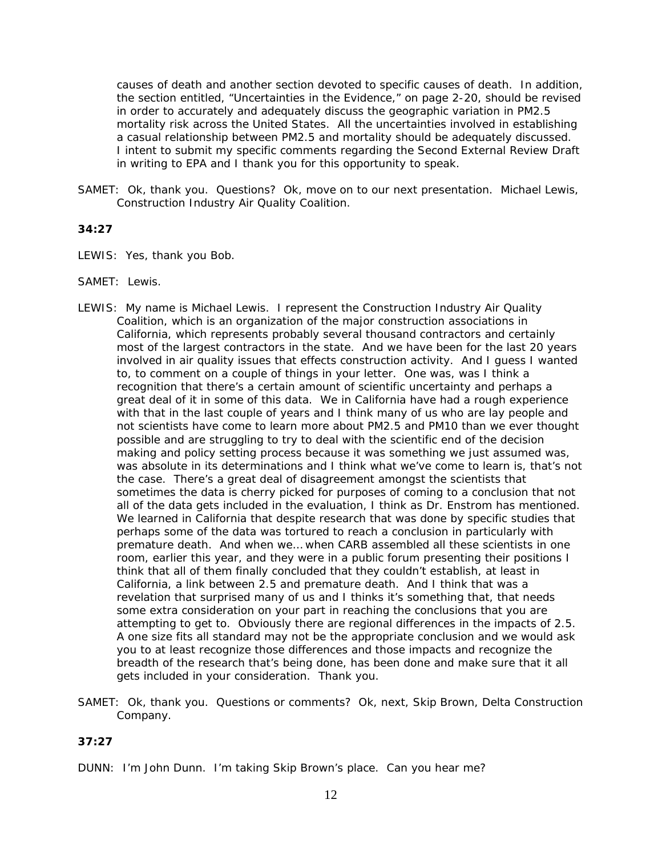causes of death and another section devoted to specific causes of death. In addition, the section entitled, "Uncertainties in the Evidence," on page 2-20, should be revised in order to accurately and adequately discuss the geographic variation in PM2.5 mortality risk across the United States. All the uncertainties involved in establishing a casual relationship between PM2.5 and mortality should be adequately discussed. I intent to submit my specific comments regarding the Second External Review Draft in writing to EPA and I thank you for this opportunity to speak.

SAMET: Ok, thank you. Questions? Ok, move on to our next presentation. Michael Lewis, Construction Industry Air Quality Coalition.

### **34:27**

- LEWIS: Yes, thank you Bob.
- SAMET: Lewis.
- LEWIS: My name is Michael Lewis. I represent the Construction Industry Air Quality Coalition, which is an organization of the major construction associations in California, which represents probably several thousand contractors and certainly most of the largest contractors in the state. And we have been for the last 20 years involved in air quality issues that effects construction activity. And I guess I wanted to, to comment on a couple of things in your letter. One was, was I think a recognition that there's a certain amount of scientific uncertainty and perhaps a great deal of it in some of this data. We in California have had a rough experience with that in the last couple of years and I think many of us who are lay people and not scientists have come to learn more about PM2.5 and PM10 than we ever thought possible and are struggling to try to deal with the scientific end of the decision making and policy setting process because it was something we just assumed was, was absolute in its determinations and I think what we've come to learn is, that's not the case. There's a great deal of disagreement amongst the scientists that sometimes the data is cherry picked for purposes of coming to a conclusion that not all of the data gets included in the evaluation, I think as Dr. Enstrom has mentioned. We learned in California that despite research that was done by specific studies that perhaps some of the data was tortured to reach a conclusion in particularly with premature death. And when we… when CARB assembled all these scientists in one room, earlier this year, and they were in a public forum presenting their positions I think that all of them finally concluded that they couldn't establish, at least in California, a link between 2.5 and premature death. And I think that was a revelation that surprised many of us and I thinks it's something that, that needs some extra consideration on your part in reaching the conclusions that you are attempting to get to. Obviously there are regional differences in the impacts of 2.5. A one size fits all standard may not be the appropriate conclusion and we would ask you to at least recognize those differences and those impacts and recognize the breadth of the research that's being done, has been done and make sure that it all gets included in your consideration. Thank you.
- SAMET: Ok, thank you. Questions or comments? Ok, next, Skip Brown, Delta Construction Company.

#### **37:27**

DUNN: I'm John Dunn. I'm taking Skip Brown's place. Can you hear me?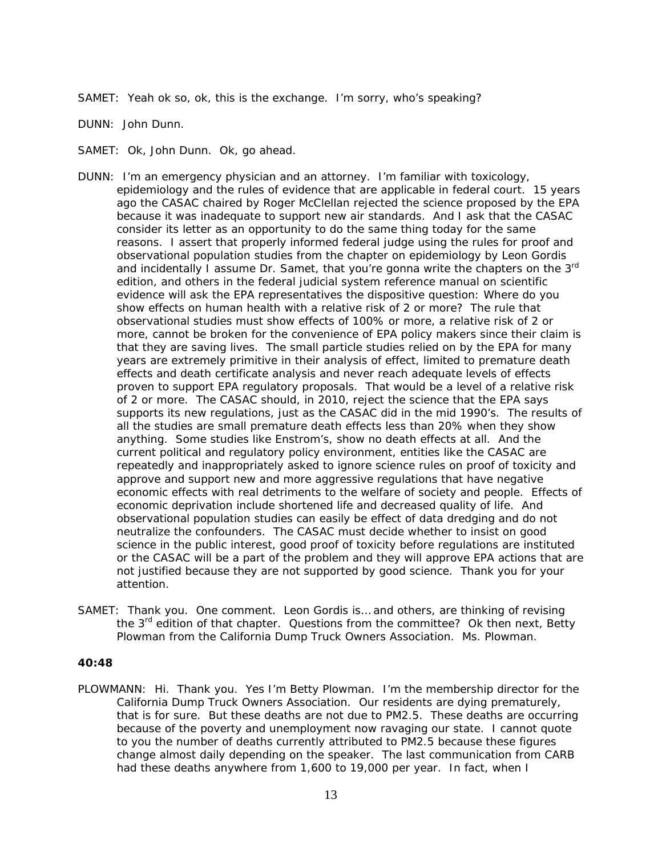SAMET: Yeah ok so, ok, this is the exchange. I'm sorry, who's speaking?

DUNN: John Dunn.

SAMET: Ok, John Dunn. Ok, go ahead.

- DUNN: I'm an emergency physician and an attorney. I'm familiar with toxicology, epidemiology and the rules of evidence that are applicable in federal court. 15 years ago the CASAC chaired by Roger McClellan rejected the science proposed by the EPA because it was inadequate to support new air standards. And I ask that the CASAC consider its letter as an opportunity to do the same thing today for the same reasons. I assert that properly informed federal judge using the rules for proof and observational population studies from the chapter on epidemiology by Leon Gordis and incidentally I assume Dr. Samet, that you're gonna write the chapters on the 3<sup>rd</sup> edition, and others in the federal judicial system reference manual on scientific evidence will ask the EPA representatives the dispositive question: Where do you show effects on human health with a relative risk of 2 or more? The rule that observational studies must show effects of 100% or more, a relative risk of 2 or more, cannot be broken for the convenience of EPA policy makers since their claim is that they are saving lives. The small particle studies relied on by the EPA for many years are extremely primitive in their analysis of effect, limited to premature death effects and death certificate analysis and never reach adequate levels of effects proven to support EPA regulatory proposals. That would be a level of a relative risk of 2 or more. The CASAC should, in 2010, reject the science that the EPA says supports its new regulations, just as the CASAC did in the mid 1990's. The results of all the studies are small premature death effects less than 20% when they show anything. Some studies like Enstrom's, show no death effects at all. And the current political and regulatory policy environment, entities like the CASAC are repeatedly and inappropriately asked to ignore science rules on proof of toxicity and approve and support new and more aggressive regulations that have negative economic effects with real detriments to the welfare of society and people. Effects of economic deprivation include shortened life and decreased quality of life. And observational population studies can easily be effect of data dredging and do not neutralize the confounders. The CASAC must decide whether to insist on good science in the public interest, good proof of toxicity before regulations are instituted or the CASAC will be a part of the problem and they will approve EPA actions that are not justified because they are not supported by good science. Thank you for your attention.
- SAMET: Thank you. One comment. Leon Gordis is… and others, are thinking of revising the 3<sup>rd</sup> edition of that chapter. Questions from the committee? Ok then next, Betty Plowman from the California Dump Truck Owners Association. Ms. Plowman.

#### **40:48**

PLOWMANN: Hi. Thank you. Yes I'm Betty Plowman. I'm the membership director for the California Dump Truck Owners Association. Our residents are dying prematurely, that is for sure. But these deaths are not due to PM2.5. These deaths are occurring because of the poverty and unemployment now ravaging our state. I cannot quote to you the number of deaths currently attributed to PM2.5 because these figures change almost daily depending on the speaker. The last communication from CARB had these deaths anywhere from 1,600 to 19,000 per year. In fact, when I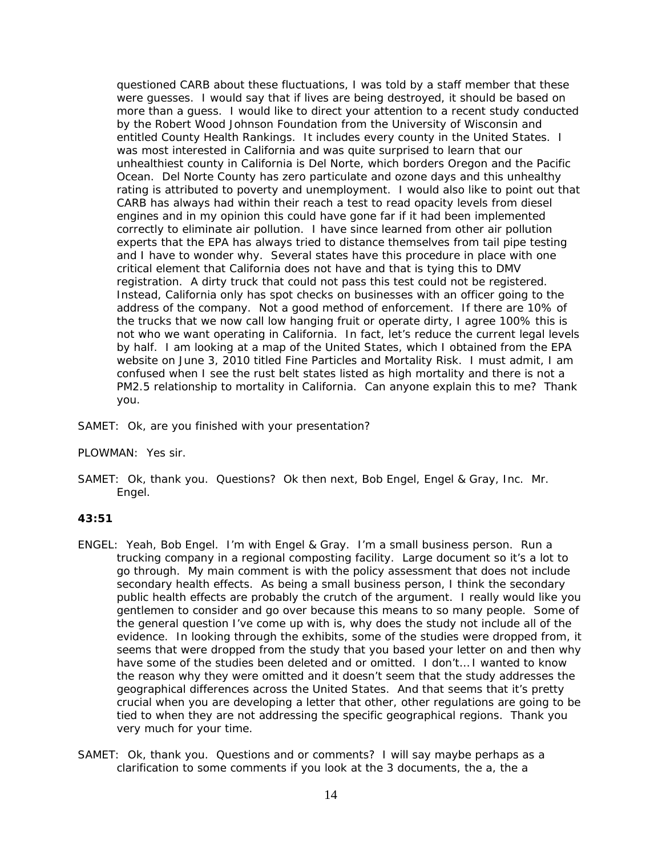questioned CARB about these fluctuations, I was told by a staff member that these were guesses. I would say that if lives are being destroyed, it should be based on more than a guess. I would like to direct your attention to a recent study conducted by the Robert Wood Johnson Foundation from the University of Wisconsin and entitled County Health Rankings. It includes every county in the United States. I was most interested in California and was quite surprised to learn that our unhealthiest county in California is Del Norte, which borders Oregon and the Pacific Ocean. Del Norte County has zero particulate and ozone days and this unhealthy rating is attributed to poverty and unemployment. I would also like to point out that CARB has always had within their reach a test to read opacity levels from diesel engines and in my opinion this could have gone far if it had been implemented correctly to eliminate air pollution. I have since learned from other air pollution experts that the EPA has always tried to distance themselves from tail pipe testing and I have to wonder why. Several states have this procedure in place with one critical element that California does not have and that is tying this to DMV registration. A dirty truck that could not pass this test could not be registered. Instead, California only has spot checks on businesses with an officer going to the address of the company. Not a good method of enforcement. If there are 10% of the trucks that we now call low hanging fruit or operate dirty, I agree 100% this is not who we want operating in California. In fact, let's reduce the current legal levels by half. I am looking at a map of the United States, which I obtained from the EPA website on June 3, 2010 titled Fine Particles and Mortality Risk. I must admit, I am confused when I see the rust belt states listed as high mortality and there is not a PM2.5 relationship to mortality in California. Can anyone explain this to me? Thank you.

SAMET: Ok, are you finished with your presentation?

PLOWMAN: Yes sir.

SAMET: Ok, thank you. Questions? Ok then next, Bob Engel, Engel & Gray, Inc. Mr. Engel.

### **43:51**

- ENGEL: Yeah, Bob Engel. I'm with Engel & Gray. I'm a small business person. Run a trucking company in a regional composting facility. Large document so it's a lot to go through. My main comment is with the policy assessment that does not include secondary health effects. As being a small business person, I think the secondary public health effects are probably the crutch of the argument. I really would like you gentlemen to consider and go over because this means to so many people. Some of the general question I've come up with is, why does the study not include all of the evidence. In looking through the exhibits, some of the studies were dropped from, it seems that were dropped from the study that you based your letter on and then why have some of the studies been deleted and or omitted. I don't… I wanted to know the reason why they were omitted and it doesn't seem that the study addresses the geographical differences across the United States. And that seems that it's pretty crucial when you are developing a letter that other, other regulations are going to be tied to when they are not addressing the specific geographical regions. Thank you very much for your time.
- SAMET: Ok, thank you. Questions and or comments? I will say maybe perhaps as a clarification to some comments if you look at the 3 documents, the a, the a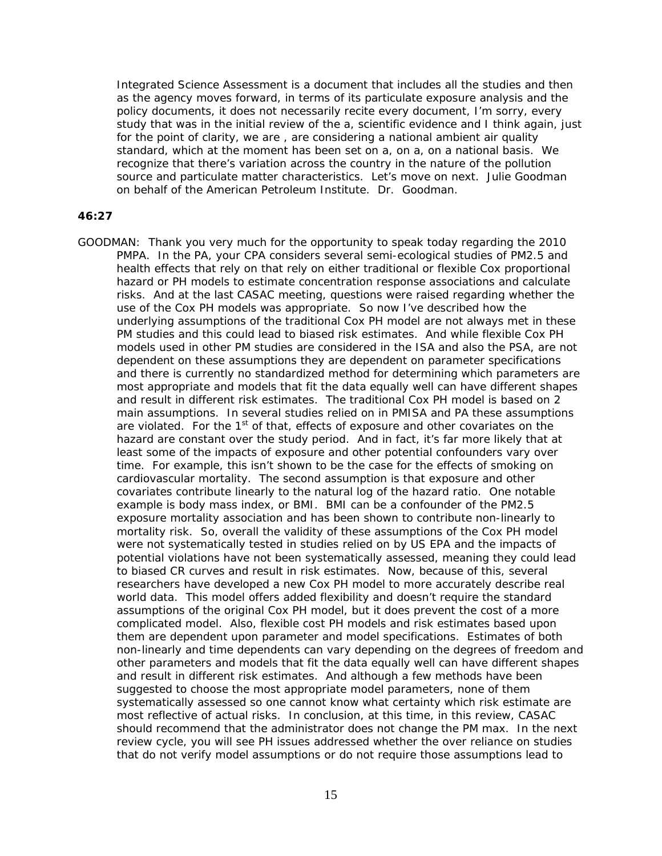Integrated Science Assessment is a document that includes all the studies and then as the agency moves forward, in terms of its particulate exposure analysis and the policy documents, it does not necessarily recite every document, I'm sorry, every study that was in the initial review of the a, scientific evidence and I think again, just for the point of clarity, we are , are considering a national ambient air quality standard, which at the moment has been set on a, on a, on a national basis. We recognize that there's variation across the country in the nature of the pollution source and particulate matter characteristics. Let's move on next. Julie Goodman on behalf of the American Petroleum Institute. Dr. Goodman.

### **46:27**

GOODMAN: Thank you very much for the opportunity to speak today regarding the 2010 PMPA. In the PA, your CPA considers several semi-ecological studies of PM2.5 and health effects that rely on that rely on either traditional or flexible Cox proportional hazard or PH models to estimate concentration response associations and calculate risks. And at the last CASAC meeting, questions were raised regarding whether the use of the Cox PH models was appropriate. So now I've described how the underlying assumptions of the traditional Cox PH model are not always met in these PM studies and this could lead to biased risk estimates. And while flexible Cox PH models used in other PM studies are considered in the ISA and also the PSA, are not dependent on these assumptions they are dependent on parameter specifications and there is currently no standardized method for determining which parameters are most appropriate and models that fit the data equally well can have different shapes and result in different risk estimates. The traditional Cox PH model is based on 2 main assumptions. In several studies relied on in PMISA and PA these assumptions are violated. For the 1<sup>st</sup> of that, effects of exposure and other covariates on the hazard are constant over the study period. And in fact, it's far more likely that at least some of the impacts of exposure and other potential confounders vary over time. For example, this isn't shown to be the case for the effects of smoking on cardiovascular mortality. The second assumption is that exposure and other covariates contribute linearly to the natural log of the hazard ratio. One notable example is body mass index, or BMI. BMI can be a confounder of the PM2.5 exposure mortality association and has been shown to contribute non-linearly to mortality risk. So, overall the validity of these assumptions of the Cox PH model were not systematically tested in studies relied on by US EPA and the impacts of potential violations have not been systematically assessed, meaning they could lead to biased CR curves and result in risk estimates. Now, because of this, several researchers have developed a new Cox PH model to more accurately describe real world data. This model offers added flexibility and doesn't require the standard assumptions of the original Cox PH model, but it does prevent the cost of a more complicated model. Also, flexible cost PH models and risk estimates based upon them are dependent upon parameter and model specifications. Estimates of both non-linearly and time dependents can vary depending on the degrees of freedom and other parameters and models that fit the data equally well can have different shapes and result in different risk estimates. And although a few methods have been suggested to choose the most appropriate model parameters, none of them systematically assessed so one cannot know what certainty which risk estimate are most reflective of actual risks. In conclusion, at this time, in this review, CASAC should recommend that the administrator does not change the PM max. In the next review cycle, you will see PH issues addressed whether the over reliance on studies that do not verify model assumptions or do not require those assumptions lead to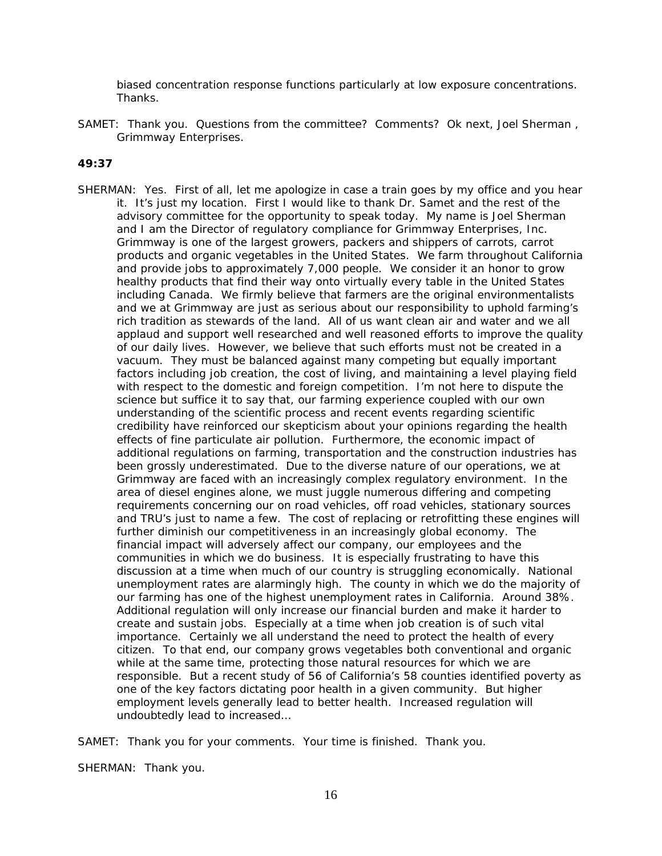biased concentration response functions particularly at low exposure concentrations. Thanks.

SAMET: Thank you. Questions from the committee? Comments? Ok next, Joel Sherman, Grimmway Enterprises.

### **49:37**

SHERMAN: Yes. First of all, let me apologize in case a train goes by my office and you hear it. It's just my location. First I would like to thank Dr. Samet and the rest of the advisory committee for the opportunity to speak today. My name is Joel Sherman and I am the Director of regulatory compliance for Grimmway Enterprises, Inc. Grimmway is one of the largest growers, packers and shippers of carrots, carrot products and organic vegetables in the United States. We farm throughout California and provide jobs to approximately 7,000 people. We consider it an honor to grow healthy products that find their way onto virtually every table in the United States including Canada. We firmly believe that farmers are the original environmentalists and we at Grimmway are just as serious about our responsibility to uphold farming's rich tradition as stewards of the land. All of us want clean air and water and we all applaud and support well researched and well reasoned efforts to improve the quality of our daily lives. However, we believe that such efforts must not be created in a vacuum. They must be balanced against many competing but equally important factors including job creation, the cost of living, and maintaining a level playing field with respect to the domestic and foreign competition. I'm not here to dispute the science but suffice it to say that, our farming experience coupled with our own understanding of the scientific process and recent events regarding scientific credibility have reinforced our skepticism about your opinions regarding the health effects of fine particulate air pollution. Furthermore, the economic impact of additional regulations on farming, transportation and the construction industries has been grossly underestimated. Due to the diverse nature of our operations, we at Grimmway are faced with an increasingly complex regulatory environment. In the area of diesel engines alone, we must juggle numerous differing and competing requirements concerning our on road vehicles, off road vehicles, stationary sources and TRU's just to name a few. The cost of replacing or retrofitting these engines will further diminish our competitiveness in an increasingly global economy. The financial impact will adversely affect our company, our employees and the communities in which we do business. It is especially frustrating to have this discussion at a time when much of our country is struggling economically. National unemployment rates are alarmingly high. The county in which we do the majority of our farming has one of the highest unemployment rates in California. Around 38%. Additional regulation will only increase our financial burden and make it harder to create and sustain jobs. Especially at a time when job creation is of such vital importance. Certainly we all understand the need to protect the health of every citizen. To that end, our company grows vegetables both conventional and organic while at the same time, protecting those natural resources for which we are responsible. But a recent study of 56 of California's 58 counties identified poverty as one of the key factors dictating poor health in a given community. But higher employment levels generally lead to better health. Increased regulation will undoubtedly lead to increased…

SAMET: Thank you for your comments. Your time is finished. Thank you.

SHERMAN: Thank you.